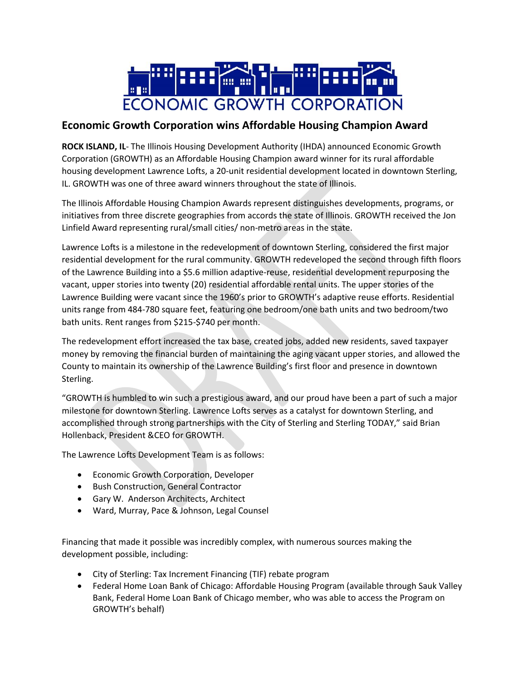

## **Economic Growth Corporation wins Affordable Housing Champion Award**

**ROCK ISLAND, IL**- The Illinois Housing Development Authority (IHDA) announced Economic Growth Corporation (GROWTH) as an Affordable Housing Champion award winner for its rural affordable housing development Lawrence Lofts, a 20-unit residential development located in downtown Sterling, IL. GROWTH was one of three award winners throughout the state of Illinois.

The Illinois Affordable Housing Champion Awards represent distinguishes developments, programs, or initiatives from three discrete geographies from accords the state of Illinois. GROWTH received the Jon Linfield Award representing rural/small cities/ non-metro areas in the state.

Lawrence Lofts is a milestone in the redevelopment of downtown Sterling, considered the first major residential development for the rural community. GROWTH redeveloped the second through fifth floors of the Lawrence Building into a \$5.6 million adaptive-reuse, residential development repurposing the vacant, upper stories into twenty (20) residential affordable rental units. The upper stories of the Lawrence Building were vacant since the 1960's prior to GROWTH's adaptive reuse efforts. Residential units range from 484-780 square feet, featuring one bedroom/one bath units and two bedroom/two bath units. Rent ranges from \$215-\$740 per month.

The redevelopment effort increased the tax base, created jobs, added new residents, saved taxpayer money by removing the financial burden of maintaining the aging vacant upper stories, and allowed the County to maintain its ownership of the Lawrence Building's first floor and presence in downtown Sterling.

"GROWTH is humbled to win such a prestigious award, and our proud have been a part of such a major milestone for downtown Sterling. Lawrence Lofts serves as a catalyst for downtown Sterling, and accomplished through strong partnerships with the City of Sterling and Sterling TODAY," said Brian Hollenback, President &CEO for GROWTH.

The Lawrence Lofts Development Team is as follows:

- **•** Economic Growth Corporation, Developer
- **•** Bush Construction, General Contractor
- Gary W. Anderson Architects, Architect
- Ward, Murray, Pace & Johnson, Legal Counsel

Financing that made it possible was incredibly complex, with numerous sources making the development possible, including:

- City of Sterling: Tax Increment Financing (TIF) rebate program
- Federal Home Loan Bank of Chicago: Affordable Housing Program (available through Sauk Valley Bank, Federal Home Loan Bank of Chicago member, who was able to access the Program on GROWTH's behalf)